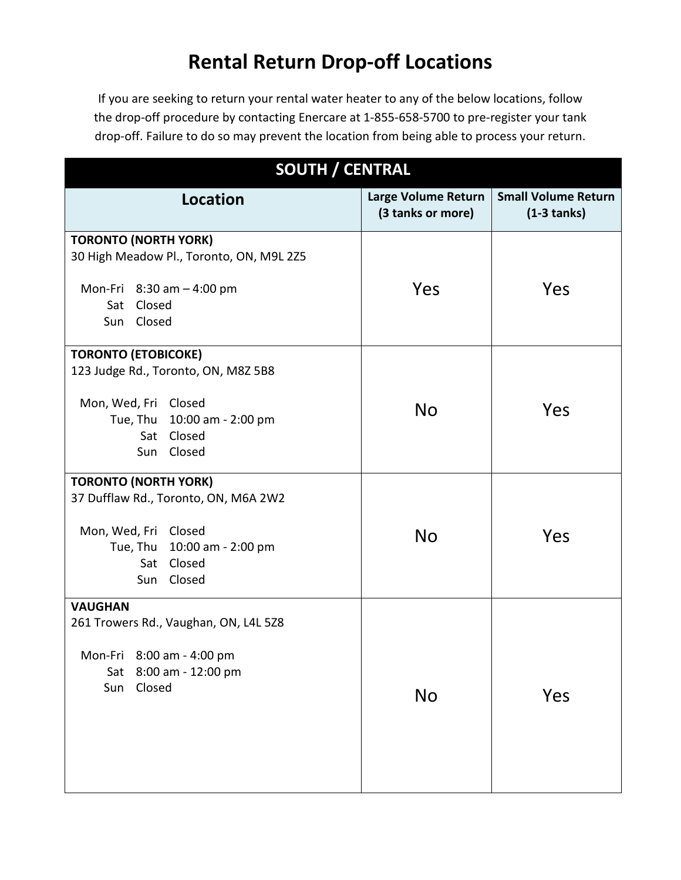## **Rental Return Drop-off Locations**

If you are seeking to return your rental water heater to any of the below locations, follow the drop-off procedure by contacting Enercare at 1-855-658-5700 to pre-register your tank drop-off. Failure to do so may prevent the location from being able to process your return.

| <b>SOUTH / CENTRAL</b>                   |                                          |                                               |  |  |
|------------------------------------------|------------------------------------------|-----------------------------------------------|--|--|
| <b>Location</b>                          | Large Volume Return<br>(3 tanks or more) | <b>Small Volume Return</b><br>$(1-3 \tanh s)$ |  |  |
| <b>TORONTO (NORTH YORK)</b>              |                                          |                                               |  |  |
| 30 High Meadow Pl., Toronto, ON, M9L 2Z5 |                                          |                                               |  |  |
| Mon-Fri $8:30$ am $-4:00$ pm             | Yes                                      | Yes                                           |  |  |
| Closed<br>Sat                            |                                          |                                               |  |  |
| Sun Closed                               |                                          |                                               |  |  |
| <b>TORONTO (ETOBICOKE)</b>               |                                          |                                               |  |  |
| 123 Judge Rd., Toronto, ON, M8Z 5B8      |                                          |                                               |  |  |
| Mon, Wed, Fri Closed                     |                                          |                                               |  |  |
| 10:00 am - 2:00 pm<br>Tue, Thu           | <b>No</b>                                | Yes                                           |  |  |
| Closed<br>Sat                            |                                          |                                               |  |  |
| Closed<br>Sun                            |                                          |                                               |  |  |
| <b>TORONTO (NORTH YORK)</b>              |                                          |                                               |  |  |
| 37 Dufflaw Rd., Toronto, ON, M6A 2W2     |                                          |                                               |  |  |
| Mon, Wed, Fri<br>Closed                  | <b>No</b>                                | Yes                                           |  |  |
| Tue, Thu 10:00 am - 2:00 pm              |                                          |                                               |  |  |
| Closed<br>Sat                            |                                          |                                               |  |  |
| Closed<br>Sun                            |                                          |                                               |  |  |
| <b>VAUGHAN</b>                           |                                          |                                               |  |  |
| 261 Trowers Rd., Vaughan, ON, L4L 5Z8    |                                          |                                               |  |  |
| Mon-Fri 8:00 am - 4:00 pm                |                                          |                                               |  |  |
| 8:00 am - 12:00 pm<br>Sat                |                                          |                                               |  |  |
| Closed<br>Sun                            | No                                       | Yes                                           |  |  |
|                                          |                                          |                                               |  |  |
|                                          |                                          |                                               |  |  |
|                                          |                                          |                                               |  |  |
|                                          |                                          |                                               |  |  |
|                                          |                                          |                                               |  |  |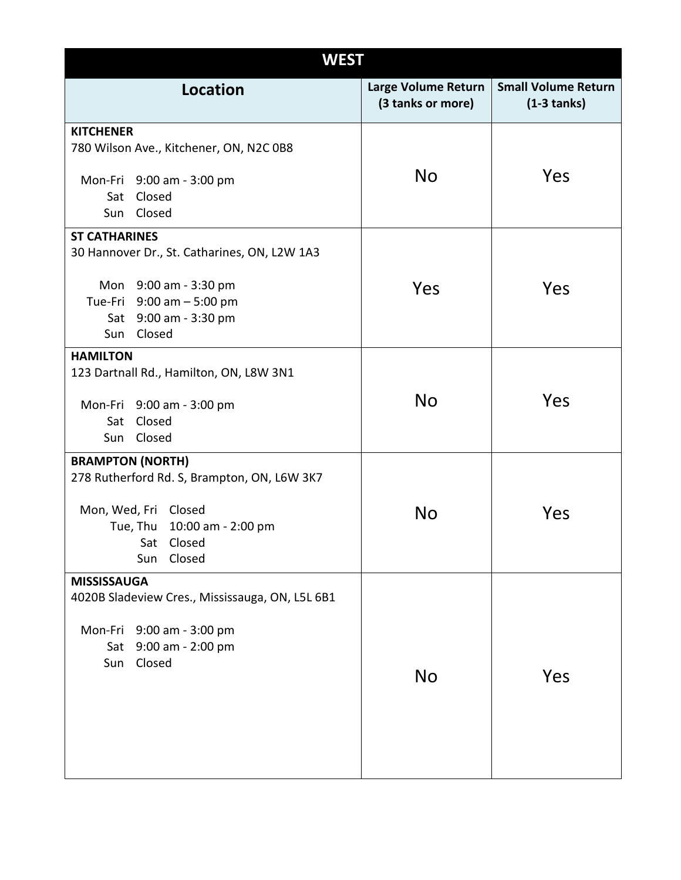| <b>WEST</b>                                     |  |                                          |                                              |  |
|-------------------------------------------------|--|------------------------------------------|----------------------------------------------|--|
| <b>Location</b>                                 |  | Large Volume Return<br>(3 tanks or more) | <b>Small Volume Return</b><br>$(1-3 \tants)$ |  |
| <b>KITCHENER</b>                                |  |                                          |                                              |  |
| 780 Wilson Ave., Kitchener, ON, N2C 0B8         |  |                                          |                                              |  |
| Mon-Fri 9:00 am - 3:00 pm                       |  | <b>No</b>                                | Yes                                          |  |
| Sat Closed                                      |  |                                          |                                              |  |
| Sun Closed                                      |  |                                          |                                              |  |
| <b>ST CATHARINES</b>                            |  |                                          |                                              |  |
| 30 Hannover Dr., St. Catharines, ON, L2W 1A3    |  |                                          |                                              |  |
| Mon 9:00 am - 3:30 pm                           |  | Yes                                      | Yes                                          |  |
| Tue-Fri 9:00 am - 5:00 pm                       |  |                                          |                                              |  |
| Sat 9:00 am - 3:30 pm                           |  |                                          |                                              |  |
| Sun Closed                                      |  |                                          |                                              |  |
| <b>HAMILTON</b>                                 |  |                                          |                                              |  |
| 123 Dartnall Rd., Hamilton, ON, L8W 3N1         |  |                                          |                                              |  |
|                                                 |  | <b>No</b>                                | Yes                                          |  |
| Mon-Fri 9:00 am - 3:00 pm<br>Closed<br>Sat      |  |                                          |                                              |  |
| Closed<br>Sun                                   |  |                                          |                                              |  |
|                                                 |  |                                          |                                              |  |
| <b>BRAMPTON (NORTH)</b>                         |  |                                          |                                              |  |
| 278 Rutherford Rd. S, Brampton, ON, L6W 3K7     |  |                                          |                                              |  |
| Mon, Wed, Fri Closed                            |  |                                          |                                              |  |
| Tue, Thu 10:00 am - 2:00 pm                     |  | <b>No</b>                                | Yes                                          |  |
| Sat Closed                                      |  |                                          |                                              |  |
| Closed<br>Sun                                   |  |                                          |                                              |  |
| <b>MISSISSAUGA</b>                              |  |                                          |                                              |  |
| 4020B Sladeview Cres., Mississauga, ON, L5L 6B1 |  |                                          |                                              |  |
| Mon-Fri 9:00 am - 3:00 pm                       |  |                                          |                                              |  |
| 9:00 am - 2:00 pm<br>Sat                        |  |                                          |                                              |  |
| Closed<br>Sun                                   |  |                                          |                                              |  |
|                                                 |  | <b>No</b>                                | Yes                                          |  |
|                                                 |  |                                          |                                              |  |
|                                                 |  |                                          |                                              |  |
|                                                 |  |                                          |                                              |  |
|                                                 |  |                                          |                                              |  |
|                                                 |  |                                          |                                              |  |